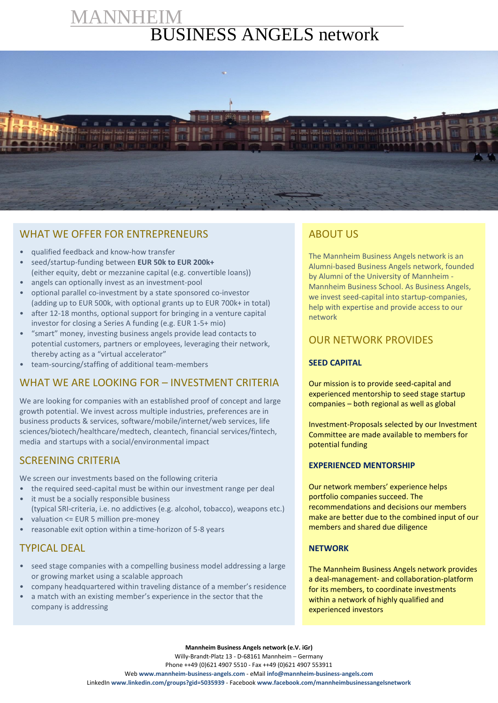# IANNHEIM BUSINESS ANGELS network



## WHAT WE OFFER FOR ENTREPRENEURS

- qualified feedback and know‐how transfer
- seed/startup‐funding between **EUR 50k to EUR 200k+** (either equity, debt or mezzanine capital (e.g. convertible loans))
- angels can optionally invest as an investment-pool
- optional parallel co‐investment by a state sponsored co‐investor (adding up to EUR 500k, with optional grants up to EUR 700k+ in total)
- after 12-18 months, optional support for bringing in a venture capital investor for closing a Series A funding (e.g. EUR 1-5+ mio)
- "smart" money, investing business angels provide lead contacts to potential customers, partners or employees, leveraging their network, thereby acting as a "virtual accelerator"
- team‐sourcing/staffing of additional team‐members

## WHAT WE ARE LOOKING FOR – INVESTMENT CRITERIA

We are looking for companies with an established proof of concept and large growth potential. We invest across multiple industries, preferences are in business products & services, software/mobile/internet/web services, life sciences/biotech/healthcare/medtech, cleantech, financial services/fintech, media and startups with a social/environmental impact

### SCREENING CRITERIA

We screen our investments based on the following criteria

- the required seed-capital must be within our investment range per deal it must be a socially responsible business
- (typical SRI-criteria, i.e. no addictives (e.g. alcohol, tobacco), weapons etc.) • valuation <= EUR 5 million pre-money
- reasonable exit option within a time-horizon of 5-8 years

# TYPICAL DEAL

- seed stage companies with a compelling business model addressing a large or growing market using a scalable approach
- company headquartered within traveling distance of a member's residence
- a match with an existing member's experience in the sector that the company is addressing

# ABOUT US

The Mannheim Business Angels network is an Alumni-based Business Angels network, founded by Alumni of the University of Mannheim - Mannheim Business School. As Business Angels, we invest seed-capital into startup-companies, help with expertise and provide access to our network

## OUR NETWORK PROVIDES

#### **SEED CAPITAL**

Our mission is to provide seed-capital and experienced mentorship to seed stage startup companies – both regional as well as global

Investment-Proposals selected by our Investment Committee are made available to members for potential funding

#### **EXPERIENCED MENTORSHIP**

Our network members' experience helps portfolio companies succeed. The recommendations and decisions our members make are better due to the combined input of our members and shared due diligence

#### **NETWORK**

The Mannheim Business Angels network provides a deal-management- and collaboration-platform for its members, to coordinate investments within a network of highly qualified and experienced investors